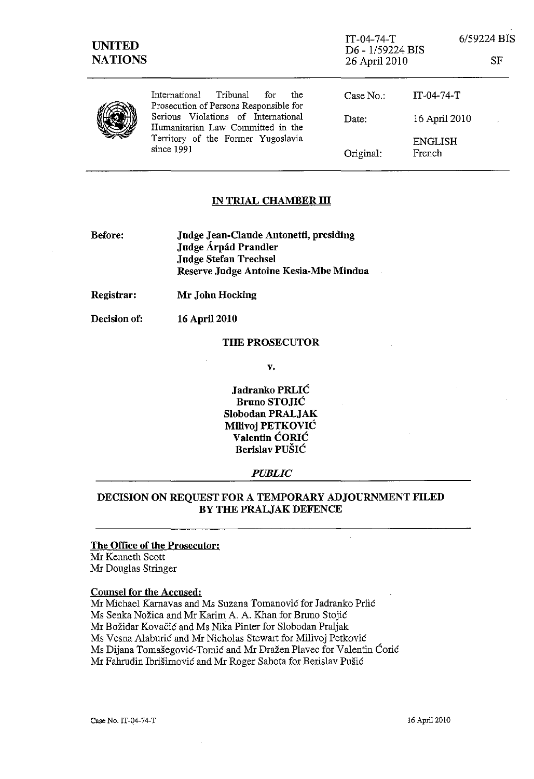| <b>UNITED</b><br><b>NATIONS</b> |                                                                                                                                | $IT-04-74-T$<br>D6 - 1/59224 BIS<br>26 April 2010 |                          | 6/59224 BIS<br>SF |
|---------------------------------|--------------------------------------------------------------------------------------------------------------------------------|---------------------------------------------------|--------------------------|-------------------|
|                                 | International Tribunal for<br>the<br>Prosecution of Persons Responsible for                                                    | Case No.                                          | $IT-04-74-T$             |                   |
|                                 | Serious Violations of International<br>Humanitarian Law Committed in the<br>Territory of the Former Yugoslavia<br>since $1991$ | Date:                                             | 16 April 2010            |                   |
|                                 |                                                                                                                                | Original:                                         | <b>ENGLISH</b><br>French |                   |

### IN TRIAL CHAMBER **III**

| Before: | Judge Jean-Claude Antonetti, presiding |
|---------|----------------------------------------|
|         | Judge Árpád Prandler                   |
|         | <b>Judge Stefan Trechsel</b>           |
|         | Reserve Judge Antoine Kesia-Mbe Mindua |

Registrar: Mr John Hocking

Decision of: 16 April 2010

### THE PROSECUTOR

v.

Jadranko PRLIC Bruno STOJIC Slobodan PRALJAK Milivoj PETKOVIC Valentin CORIC Berislav PUŠIĆ

#### *PUBLIC*

# DECISION ON REQUEST FOR A TEMPORARY ADJOURNMENT FILED BY THE PRALJAK DEFENCE

## The Office of the Prosecutor:

Mr Kermeth Scott Mr Douglas Stringer

### Counsel for the Accused:

Mr Michael Karnavas and Ms Suzana Tomanović for Jadranko Prlić Ms Senka Nozica and Mr Karim A. A. Khan for Bruno Stojic Mr Božidar Kovačić and Ms Nika Pinter for Slobodan Praljak Ms Vesna Alaburic and Mr Nicholas Stewart for Milivoj Petkovie Ms Dijana Tomasegovic-Tomic and Mr Drazen Plavec for Valentin Corie Mr Fahrudin Ibrisimovic and Mr Roger Sahota for Berislav Pusic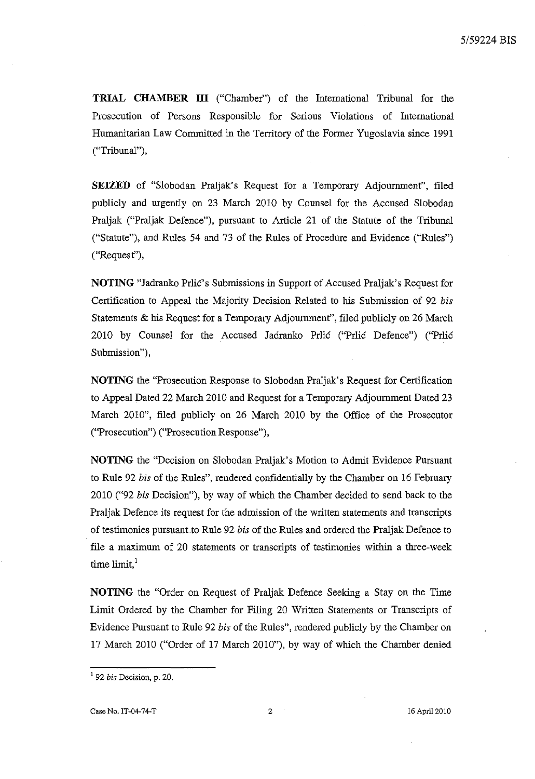**TRIAL CHAMBER III** ("Chamber") of the International Tribunal for the Prosecution of Persons Responsible for Serious Violations of International Humanitarian Law Committed in the Territory of the Former Yugoslavia since 1991 ("Tribunal"),

**SEIZED** of "Slobodan Praljak's Request for a Temporary Adjournment", filed publicly and urgently on 23 March 2010 by Counsel for the Accused Slobodan Praljak ("Praljak Defence"), pursuant to Article 21 of the Statute of the Tribunal ("Statute"), and Rules 54 and 73 of the Rules of Procedure and Evidence ("Rules") ("Request"),

**NOTING** "Jadranko Prlic's Submissions in Support of Accused Praljak's Request for Certification to Appeal the Majority Decision Related to his Submission of 92 *bis*  Statements & his Request for a Temporary Adjournment", filed publicly on 26 March 2010 by Counsel for the Accused Jadranko Prlic ("Prlic Defence") ("Prlic Submission"),

**NOTING** the "Prosecution Response to Slobodan Praljak's Request for Certification to Appeal Dated 22 March 2010 and Request for a Temporary Adjournment Dated 23 March 2010", filed publicly on 26 March 2010 by the Office of the Prosecutor ("Prosecution") ("Prosecution Response"),

**NOTING** the "Decision on Slobodan Praljak's Motion to Admit Evidence Pursuant to Rule 92 *bis* of the Rules", rendered confidentially by the Chamber on 16 February 2010 ("92 *bis* Decision"), by way of which the Chamber decided to send back to the Praljak Defence its request for the admission of the written statements and transcripts of testimonies pursuant to Rule 92 *bis* of the Rules and ordered the Praljak Defence to file a maximum of 20 statements or transcripts of testimonies within a three-week time limit.<sup>1</sup>

**NOTING** the "Order on Request of Praljak Defence Seeking a Stay on the Time Limit Ordered by the Chamber for Filing 20 Written Statements or Transcripts of Evidence Pursuant to Rule 92 *bis* of the Rules", rendered publicly by the Chamber on 17 March 2010 ("Order of 17 March 2010"), by way of which the Chamber denied

<sup>1 92</sup> *bis* Decision, p. 20.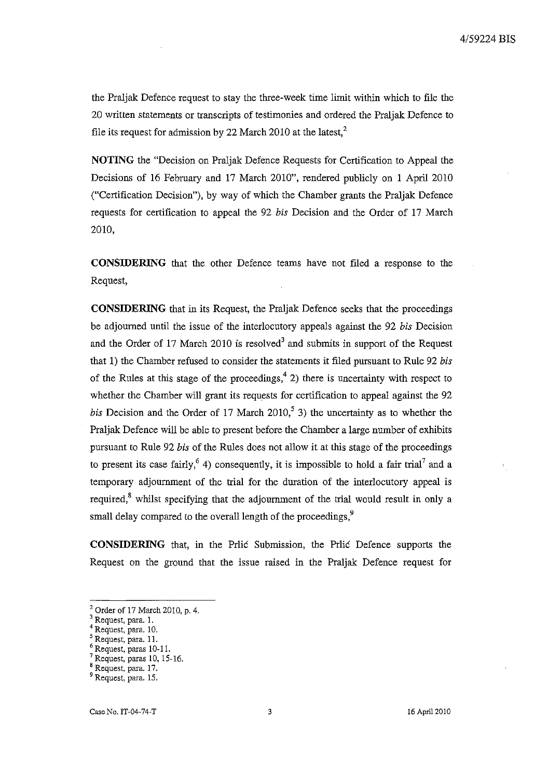the Praljak Defence request to stay the three-week time limit within which to file the 20 written statements or transcripts of testimonies and ordered the Praljak Defence to file its request for admission by 22 March 2010 at the latest, $2$ 

**NOTING** the "Decision on Praljak Defence Requests for Certification to Appeal the Decisions of 16 February and 17 March 2010", rendered publicly on 1 April 2010 ("Certification Decision"), by way of which the Chamber grants the Praljak Defence requests for certification to appeal the 92 *his* Decision and the Order of 17 March 2010,

**CONSIDERING** that the other Defence teams have not filed a response to the Request,

**CONSIDERING** that in its Request, the Praljak Defence seeks that the proceedings be adjourned until the issue of the interlocutory appeals against the 92 *his* Decision and the Order of 17 March 2010 is resolved<sup>3</sup> and submits in support of the Request that 1) the Chamber refused to consider the statements it filed pursuant to Rule 92 *his*  of the Rules at this stage of the proceedings,<sup>4</sup> 2) there is uncertainty with respect to whether the Chamber will grant its requests for certification to appeal against the 92 *his* Decision and the Order of 17 March 2010,<sup>5</sup> 3) the uncertainty as to whether the Praljak Defence will be able to present before the Chamber a large number of exhibits pursuant to Rule 92 *his* of the Rules does not allow it at this stage of the proceedings to present its case fairly,<sup>6</sup> 4) consequently, it is impossible to hold a fair trial<sup>7</sup> and a temporary adjournment of the trial for the duration of the interlocutory appeal is required, $s$  whilst specifying that the adjournment of the trial would result in only a small delay compared to the overall length of the proceedings,<sup>9</sup>

**CONSIDERING** that, in the Prlic Submission, the Prlic Defence supports the Request on the ground that the issue raised in the Praljak Defence request for

<sup>2</sup> Order of 17 March 2010, p. 4.

<sup>&</sup>lt;sup>3</sup> Request, para. 1.

Request, para. 10.

<sup>5</sup> Request, para. 11.

Request, paras 10-11.

<sup>&</sup>lt;sup>7</sup> Request, paras 10, 15-16.

<sup>8</sup> Request, para. 17.

<sup>9</sup> Request, para. 15.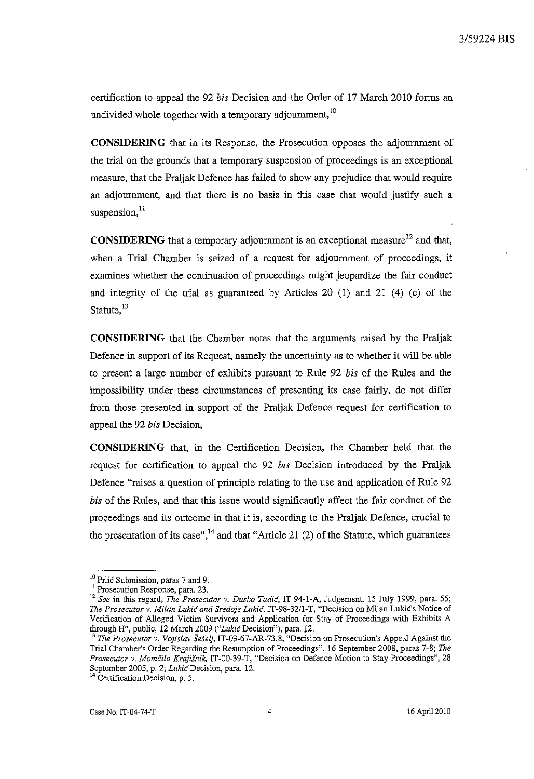certification to appeal the 92 *his* Decision and the Order of 17 March 2010 forms an undivided whole together with a temporary adjournment,<sup>10</sup>

CONSIDERING that in its Response, the Prosecution opposes the adjournment of the trial on the grounds that a temporary suspension of proceedings is an exceptional measure, that the Praljak: Defence has failed to show any prejudice that would require an adjournment, and that there is no basis in this case that would justify such a suspension, <sup>11</sup>

**CONSIDERING** that a temporary adjournment is an exceptional measure<sup>12</sup> and that, when a Trial Chamber is seized of a request for adjournment of proceedings, it examines whether the continuation of proceedings might jeopardize the fair conduct and integrity of the trial as guaranteed by Articles 20 (1) and 21 (4) (c) of the Statute.<sup>13</sup>

CONSIDERING that the Chamber notes that the arguments raised by the Praljak Defence in support of its Request, namely the uncertainty as to whether it will be able to present a large number of exhibits pursuant to Rule 92 *his* of the Rules and the impossibility under these circumstances of presenting its case fairly, do not differ from those presented in support of the Praljak: Defence request for certification to appeal the 92 *his* Decision,

CONSIDERING that, in the Certification Decision, the Chamber held that the request for certification to appeal the 92 *his* Decision introduced by the Praljak: Defence "raises a question of principle relating to the use and application of Rule 92 *his* of the Rules, and that this issue would significantly affect the fair conduct of the proceedings and its outcome in that it is, according to the Praljak: Defence, crucial to the presentation of its case",  $^{14}$  and that "Article 21 (2) of the Statute, which guarantees

<sup>&</sup>lt;sup>10</sup> Prlic Submission, paras 7 and 9.

<sup>&</sup>lt;sup>11</sup> Prosecution Response, para. 23.

<sup>12</sup>*See* in this regard, *The Prosecutor v. Dusko Tadic,* IT-94-I-A, Judgement, 15 July 1999, para. 55; *The Prosecutor* v. *Milan Luki6 and Sredoje* Lukic, IT -98-32/1-T, "Decision on Milan LukiG's Notice of Verification of Alleged Victim Survivors and Application for Stay of Proceedings with Exhibits A through H", public, 12 March 2009 ("Lukić Decision"), para. 12.

*<sup>13</sup> The Prosecutor v. VOjislav SeSelj,* IT-03-67-AR-73.8, "Decision on Prosecution's Appeal Against the Trial Chamber's Order Regarding the Resumption of Proceedings", 16 September 2008, paras 7-8; *The Prosecutor v. Momcilo Krajisnik,* IT-OO-39-T, "Decision on Defence Motion to Stay Proceedings", 28 September 2005, p. 2; Lukić Decision, para. 12.

<sup>&</sup>lt;sup>14</sup> Certification Decision, p. 5.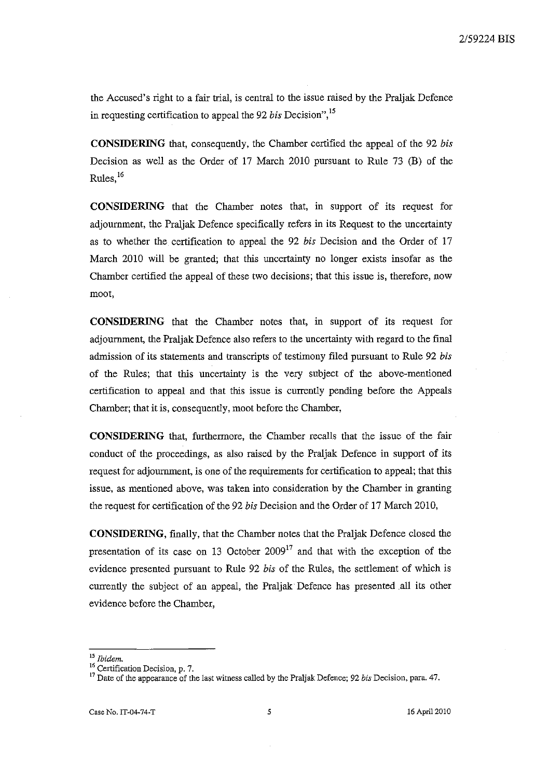the Accused's right to a fair trial, is central to the issue raised by the Praljak Defence in requesting certification to appeal the 92 *bis* Decision", 15

**CONSIDERING** that, consequently, the Chamber certified the appeal of the 92 *bis*  Decision as well as the Order of 17 March 2010 pursuant to Rule 73 (B) of the Rules. $16$ 

**CONSIDERING** that the Chamber notes that, in support of its request for adjournment, the Praljak Defence specifically refers in its Request to the uncertainty as to whether the certification to appeal the 92 *bis* Decision and the Order of 17 March 2010 will be granted; that this uncertainty no longer exists insofar as the Chamber certified the appeal of these two decisions; that this issue is, therefore, now **moot,** 

**CONSIDERING** that the Chamber notes that, in support of its request for adjournment, the Praljak Defence also refers to the uncertainty with regard to the final admission of its statements and transcripts of testimony filed pursuant to Rule 92 *bis*  of the Rules; that this uncertainty is the very subject of the above-mentioned certification to appeal and that this issue is currently pending before the Appeals Chamber; that it is, consequently, moot before the Chamber,

**CONSIDERING** that, furthermore, the Chamber recalls that the issue of the fair conduct of the proceedings, as also raised by the Praljak Defence in support of its request for adjournment, is one of the requirements for certification to appeal; that this issue, as mentioned above, was taken into consideration by the Chamber in granting the request for certification of the 92 *bis* Decision and the Order of 17 March 2010,

**CONSIDERING,** finally, that the Chamber notes that the Praljak Defence closed the presentation of its case on 13 October  $2009<sup>17</sup>$  and that with the exception of the evidence presented pursuant to Rule 92 *bis* of the Rules, the settlement of which is currently the subject of an appeal, the Praljak Defence has presented all its other evidence before the Chamber,

*<sup>15</sup> Ibidem.* 

**<sup>16</sup>Certification Decision, p. 7.** 

<sup>17</sup> Date of the appearance of the last witness called by the Praljak Defence; 92 *bis* Decision, para. 47.